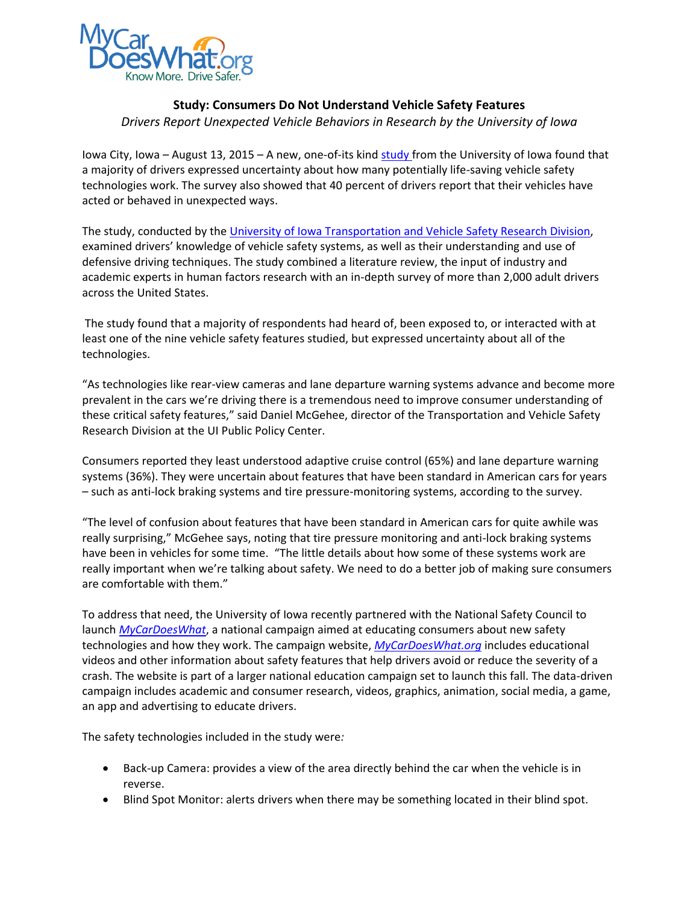

## **Study: Consumers Do Not Understand Vehicle Safety Features** *Drivers Report Unexpected Vehicle Behaviors in Research by the University of Iowa*

Iowa City, Iowa – August 13, 2015 – A new, one-of-its kind [study](http://ppc.uiowa.edu/publications/national-consumer-survey-driving-safety-technologies-technical-report) from the University of Iowa found that a majority of drivers expressed uncertainty about how many potentially life-saving vehicle safety technologies work. The survey also showed that 40 percent of drivers report that their vehicles have acted or behaved in unexpected ways.

The study, conducted by the [University of Iowa Transportation and Vehicle Safety Research Division,](http://ppc.uiowa.edu/tvs) examined drivers' knowledge of vehicle safety systems, as well as their understanding and use of defensive driving techniques. The study combined a literature review, the input of industry and academic experts in human factors research with an in-depth survey of more than 2,000 adult drivers across the United States.

The study found that a majority of respondents had heard of, been exposed to, or interacted with at least one of the nine vehicle safety features studied, but expressed uncertainty about all of the technologies.

"As technologies like rear-view cameras and lane departure warning systems advance and become more prevalent in the cars we're driving there is a tremendous need to improve consumer understanding of these critical safety features," said Daniel McGehee, director of the Transportation and Vehicle Safety Research Division at the UI Public Policy Center.

Consumers reported they least understood adaptive cruise control (65%) and lane departure warning systems (36%). They were uncertain about features that have been standard in American cars for years – such as anti-lock braking systems and tire pressure-monitoring systems, according to the survey.

"The level of confusion about features that have been standard in American cars for quite awhile was really surprising," McGehee says, noting that tire pressure monitoring and anti-lock braking systems have been in vehicles for some time. "The little details about how some of these systems work are really important when we're talking about safety. We need to do a better job of making sure consumers are comfortable with them."

To address that need, the University of Iowa recently partnered with the National Safety Council to launch *[MyCarDoesWhat](http://mycardoeswhat.org/)*, a national campaign aimed at educating consumers about new safety technologies and how they work. The campaign website, *[MyCarDoesWhat.org](http://mycardoeswhat.org/)* includes educational videos and other information about safety features that help drivers avoid or reduce the severity of a crash. The website is part of a larger national education campaign set to launch this fall. The data-driven campaign includes academic and consumer research, videos, graphics, animation, social media, a game, an app and advertising to educate drivers.

The safety technologies included in the study were*:*

- Back-up Camera: provides a view of the area directly behind the car when the vehicle is in reverse.
- Blind Spot Monitor: alerts drivers when there may be something located in their blind spot.